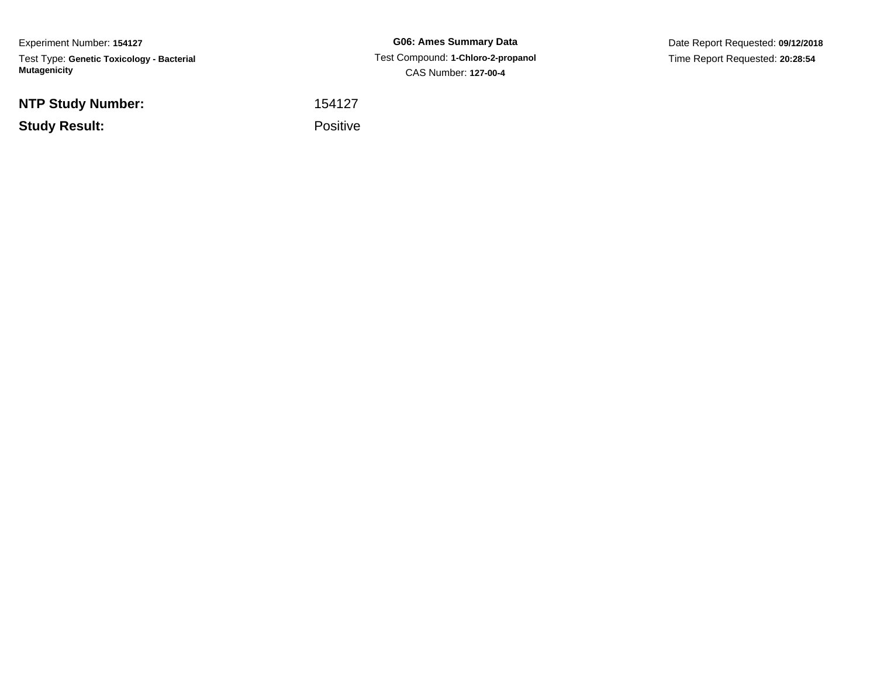Experiment Number: **154127**Test Type: **Genetic Toxicology - Bacterial Mutagenicity**

**NTP Study Number:**

**Study Result:**

**G06: Ames Summary Data** Test Compound: **1-Chloro-2-propanol**CAS Number: **127-00-4**

Date Report Requested: **09/12/2018**Time Report Requested: **20:28:54**

<sup>154127</sup>

**Example 2** is a set of the property of the Positive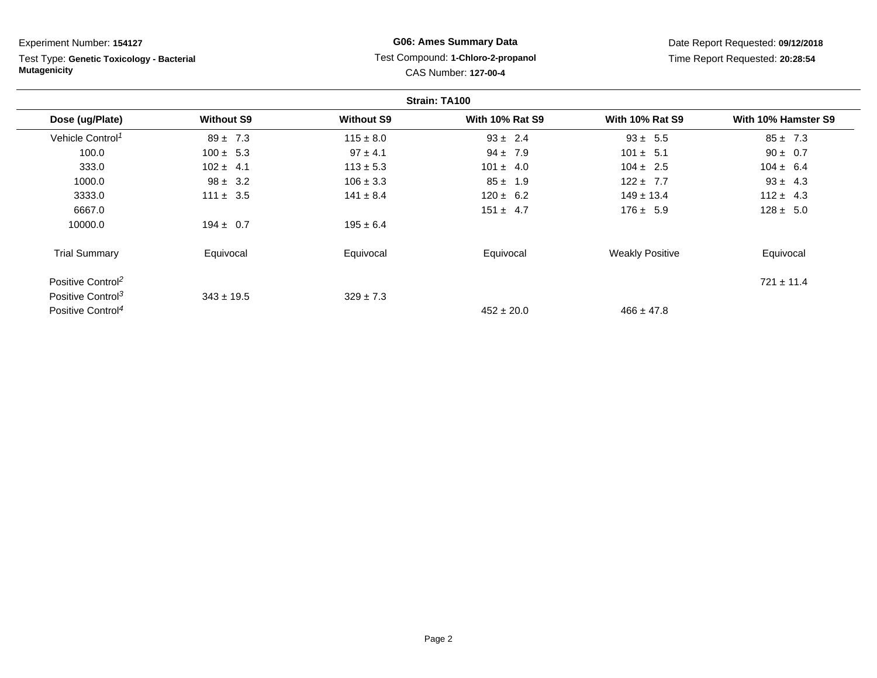# Experiment Number: **154127**

Test Type: **Genetic Toxicology - Bacterial Mutagenicity**

## **G06: Ames Summary Data** Test Compound: **1-Chloro-2-propanol**CAS Number: **127-00-4**

| Strain: TA100                 |                   |                   |                        |                        |                     |
|-------------------------------|-------------------|-------------------|------------------------|------------------------|---------------------|
| Dose (ug/Plate)               | <b>Without S9</b> | <b>Without S9</b> | <b>With 10% Rat S9</b> | <b>With 10% Rat S9</b> | With 10% Hamster S9 |
| Vehicle Control <sup>1</sup>  | $89 \pm 7.3$      | $115 \pm 8.0$     | $93 \pm 2.4$           | $93 \pm 5.5$           | $85 \pm 7.3$        |
| 100.0                         | $100 \pm 5.3$     | $97 \pm 4.1$      | $94 \pm 7.9$           | $101 \pm 5.1$          | $90 \pm 0.7$        |
| 333.0                         | $102 \pm 4.1$     | $113 \pm 5.3$     | $101 \pm 4.0$          | $104 \pm 2.5$          | $104 \pm 6.4$       |
| 1000.0                        | $98 \pm 3.2$      | $106 \pm 3.3$     | $85 \pm 1.9$           | $122 \pm 7.7$          | $93 \pm 4.3$        |
| 3333.0                        | $111 \pm 3.5$     | $141 \pm 8.4$     | $120 \pm 6.2$          | $149 \pm 13.4$         | $112 \pm 4.3$       |
| 6667.0                        |                   |                   | $151 \pm 4.7$          | $176 \pm 5.9$          | $128 \pm 5.0$       |
| 10000.0                       | $194 \pm 0.7$     | $195 \pm 6.4$     |                        |                        |                     |
| <b>Trial Summary</b>          | Equivocal         | Equivocal         | Equivocal              | <b>Weakly Positive</b> | Equivocal           |
| Positive Control <sup>2</sup> |                   |                   |                        |                        | $721 \pm 11.4$      |
| Positive Control <sup>3</sup> | $343 \pm 19.5$    | $329 \pm 7.3$     |                        |                        |                     |
| Positive Control <sup>4</sup> |                   |                   | $452 \pm 20.0$         | $466 \pm 47.8$         |                     |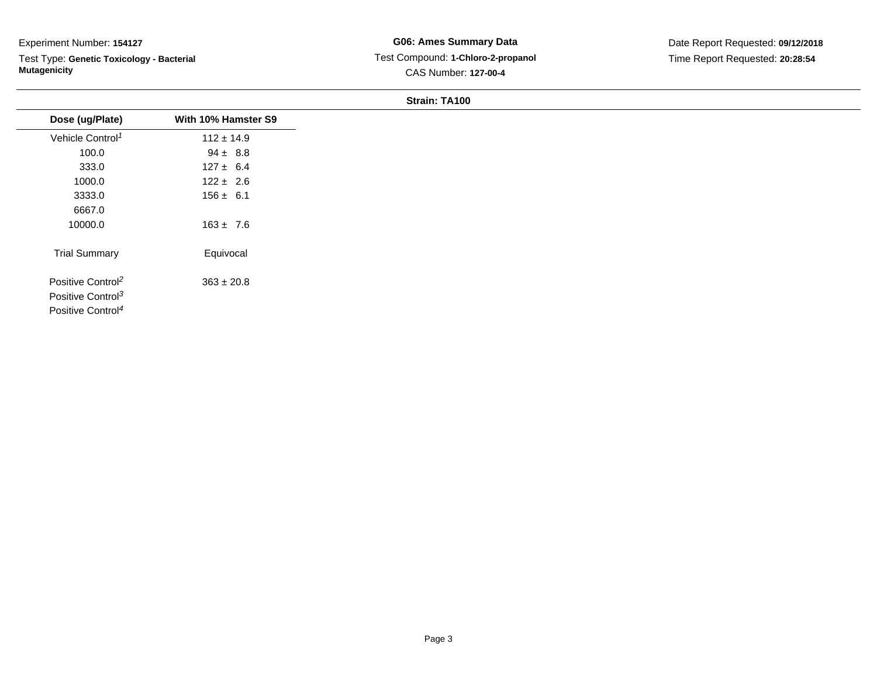### Experiment Number: **154127**

Test Type: **Genetic Toxicology - Bacterial Mutagenicity**

**G06: Ames Summary Data** Test Compound: **1-Chloro-2-propanol**CAS Number: **127-00-4**

Date Report Requested: **09/12/2018**Time Report Requested: **20:28:54**

#### **Strain: TA100**

| Dose (ug/Plate)               | With 10% Hamster S9 |
|-------------------------------|---------------------|
| Vehicle Control <sup>1</sup>  | $112 \pm 14.9$      |
| 100.0                         | $94 \pm 8.8$        |
| 333.0                         | $127 \pm 6.4$       |
| 1000.0                        | $122 \pm 2.6$       |
| 3333.0                        | $156 \pm 6.1$       |
| 6667.0                        |                     |
| 10000.0                       | $163 \pm 7.6$       |
| <b>Trial Summary</b>          | Equivocal           |
| Positive Control <sup>2</sup> | $363 \pm 20.8$      |
| Positive Control <sup>3</sup> |                     |
| Positive Control <sup>4</sup> |                     |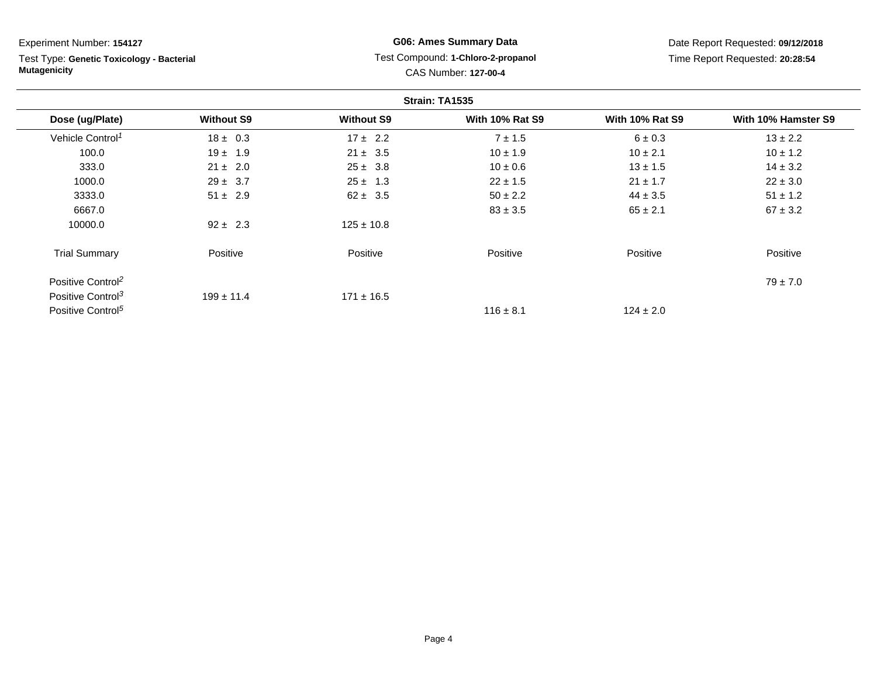Experiment Number: **154127**Test Type: **Genetic Toxicology - Bacterial Mutagenicity**

### **G06: Ames Summary Data** Test Compound: **1-Chloro-2-propanol**CAS Number: **127-00-4**

| Strain: TA1535                |                   |                   |                        |                        |                     |
|-------------------------------|-------------------|-------------------|------------------------|------------------------|---------------------|
| Dose (ug/Plate)               | <b>Without S9</b> | <b>Without S9</b> | <b>With 10% Rat S9</b> | <b>With 10% Rat S9</b> | With 10% Hamster S9 |
| Vehicle Control <sup>1</sup>  | $18 \pm 0.3$      | $17 \pm 2.2$      | $7 \pm 1.5$            | $6 \pm 0.3$            | $13 \pm 2.2$        |
| 100.0                         | $19 \pm 1.9$      | $21 \pm 3.5$      | $10 \pm 1.9$           | $10 \pm 2.1$           | $10 \pm 1.2$        |
| 333.0                         | $21 \pm 2.0$      | $25 \pm 3.8$      | $10 \pm 0.6$           | $13 \pm 1.5$           | $14 \pm 3.2$        |
| 1000.0                        | $29 \pm 3.7$      | $25 \pm 1.3$      | $22 \pm 1.5$           | $21 \pm 1.7$           | $22 \pm 3.0$        |
| 3333.0                        | $51 \pm 2.9$      | $62 \pm 3.5$      | $50 \pm 2.2$           | $44 \pm 3.5$           | $51 \pm 1.2$        |
| 6667.0                        |                   |                   | $83 \pm 3.5$           | $65 \pm 2.1$           | $67 \pm 3.2$        |
| 10000.0                       | $92 \pm 2.3$      | $125 \pm 10.8$    |                        |                        |                     |
| <b>Trial Summary</b>          | Positive          | Positive          | Positive               | Positive               | Positive            |
| Positive Control <sup>2</sup> |                   |                   |                        |                        | $79 \pm 7.0$        |
| Positive Control <sup>3</sup> | $199 \pm 11.4$    | $171 \pm 16.5$    |                        |                        |                     |
| Positive Control <sup>5</sup> |                   |                   | $116 \pm 8.1$          | $124 \pm 2.0$          |                     |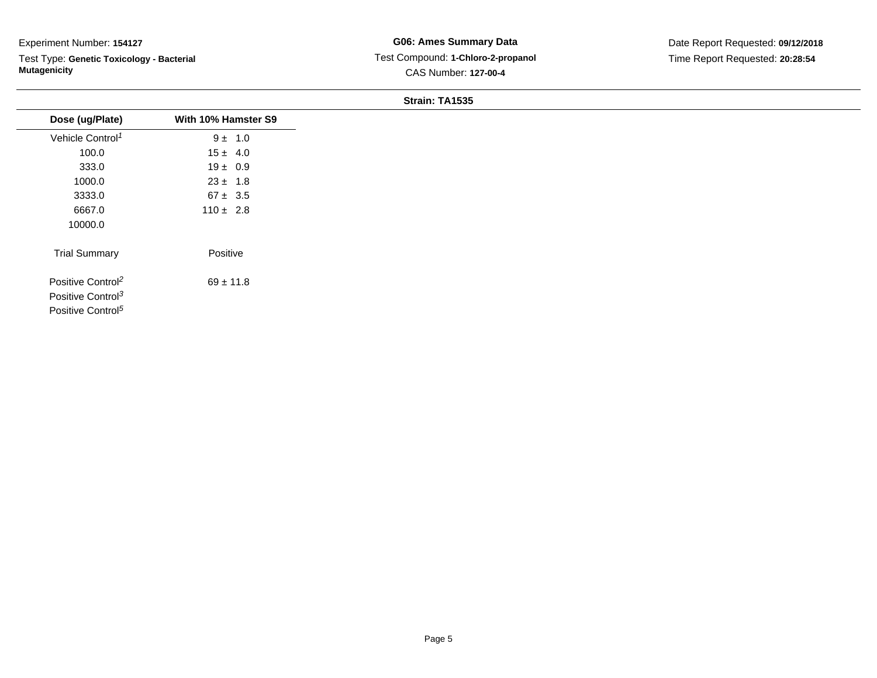### Experiment Number: **154127**

Test Type: **Genetic Toxicology - Bacterial Mutagenicity**

**G06: Ames Summary Data** Test Compound: **1-Chloro-2-propanol**CAS Number: **127-00-4**

Date Report Requested: **09/12/2018**Time Report Requested: **20:28:54**

#### **Strain: TA1535**

| Dose (ug/Plate)               | With 10% Hamster S9 |
|-------------------------------|---------------------|
| Vehicle Control <sup>1</sup>  | $9 \pm 1.0$         |
| 100.0                         | $15 \pm 4.0$        |
| 333.0                         | $19 \pm 0.9$        |
| 1000.0                        | $23 \pm 1.8$        |
| 3333.0                        | $67 \pm 3.5$        |
| 6667.0                        | $110 \pm 2.8$       |
| 10000.0                       |                     |
| <b>Trial Summary</b>          | Positive            |
| Positive Control <sup>2</sup> | $69 \pm 11.8$       |
| Positive Control <sup>3</sup> |                     |
| Positive Control <sup>5</sup> |                     |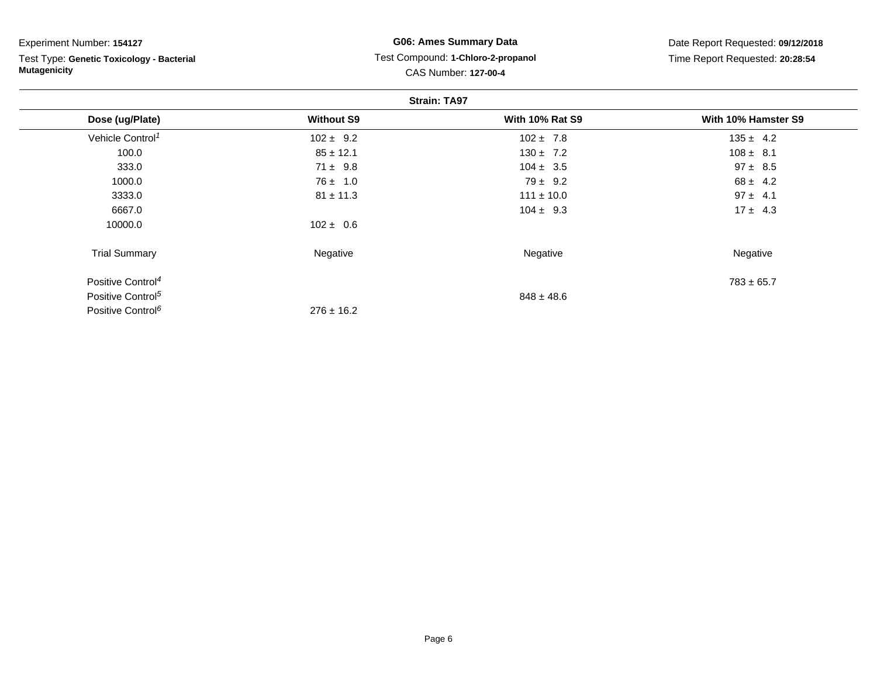| Experiment Number: 154127 |  |  |
|---------------------------|--|--|
|---------------------------|--|--|

Test Type: **Genetic Toxicology - Bacterial Mutagenicity**

### **G06: Ames Summary Data** Test Compound: **1-Chloro-2-propanol**CAS Number: **127-00-4**

| <b>Strain: TA97</b>           |                   |                        |                     |  |
|-------------------------------|-------------------|------------------------|---------------------|--|
| Dose (ug/Plate)               | <b>Without S9</b> | <b>With 10% Rat S9</b> | With 10% Hamster S9 |  |
| Vehicle Control <sup>1</sup>  | $102 \pm 9.2$     | $102 \pm 7.8$          | $135 \pm 4.2$       |  |
| 100.0                         | $85 \pm 12.1$     | $130 \pm 7.2$          | $108 \pm 8.1$       |  |
| 333.0                         | $71 \pm 9.8$      | $104 \pm 3.5$          | $97 \pm 8.5$        |  |
| 1000.0                        | $76 \pm 1.0$      | $79 \pm 9.2$           | $68 \pm 4.2$        |  |
| 3333.0                        | $81 \pm 11.3$     | $111 \pm 10.0$         | $97 \pm 4.1$        |  |
| 6667.0                        |                   | $104 \pm 9.3$          | $17 \pm 4.3$        |  |
| 10000.0                       | $102 \pm 0.6$     |                        |                     |  |
| <b>Trial Summary</b>          | Negative          | Negative               | Negative            |  |
| Positive Control <sup>4</sup> |                   |                        | $783 \pm 65.7$      |  |
| Positive Control <sup>5</sup> |                   | $848 \pm 48.6$         |                     |  |
| Positive Control <sup>6</sup> | $276 \pm 16.2$    |                        |                     |  |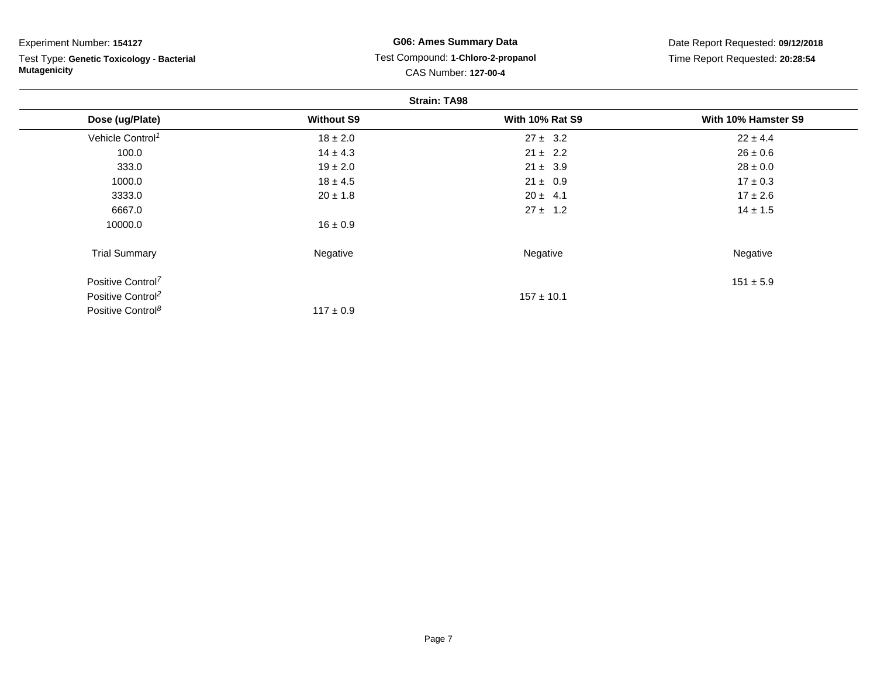| Experiment Number: 154127 |  |  |
|---------------------------|--|--|
|---------------------------|--|--|

Test Type: **Genetic Toxicology - Bacterial Mutagenicity**

### **G06: Ames Summary Data** Test Compound: **1-Chloro-2-propanol** CAS Number: **127-00-4**

| <b>Strain: TA98</b>           |                   |                        |                     |  |
|-------------------------------|-------------------|------------------------|---------------------|--|
| Dose (ug/Plate)               | <b>Without S9</b> | <b>With 10% Rat S9</b> | With 10% Hamster S9 |  |
| Vehicle Control <sup>1</sup>  | $18 \pm 2.0$      | $27 \pm 3.2$           | $22 \pm 4.4$        |  |
| 100.0                         | $14 \pm 4.3$      | $21 \pm 2.2$           | $26 \pm 0.6$        |  |
| 333.0                         | $19 \pm 2.0$      | $21 \pm 3.9$           | $28 \pm 0.0$        |  |
| 1000.0                        | $18 \pm 4.5$      | $21 \pm 0.9$           | $17 \pm 0.3$        |  |
| 3333.0                        | $20 \pm 1.8$      | $20 \pm 4.1$           | $17 \pm 2.6$        |  |
| 6667.0                        |                   | $27 \pm 1.2$           | $14 \pm 1.5$        |  |
| 10000.0                       | $16 \pm 0.9$      |                        |                     |  |
| <b>Trial Summary</b>          | Negative          | Negative               | Negative            |  |
| Positive Control <sup>7</sup> |                   |                        | $151 \pm 5.9$       |  |
| Positive Control <sup>2</sup> |                   | $157 \pm 10.1$         |                     |  |
| Positive Control <sup>8</sup> | $117 \pm 0.9$     |                        |                     |  |